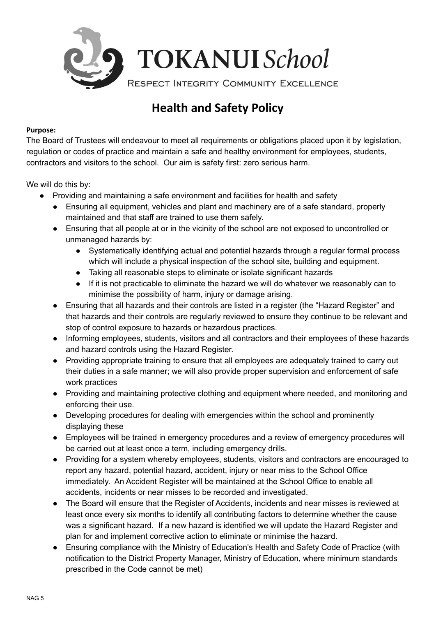

## **Health and Safety Policy**

## **Purpose:**

The Board of Trustees will endeavour to meet all requirements or obligations placed upon it by legislation, regulation or codes of practice and maintain a safe and healthy environment for employees, students, contractors and visitors to the school. Our aim is safety first: zero serious harm.

We will do this by:

- Providing and maintaining a safe environment and facilities for health and safety
	- Ensuring all equipment, vehicles and plant and machinery are of a safe standard, properly maintained and that staff are trained to use them safely.
	- Ensuring that all people at or in the vicinity of the school are not exposed to uncontrolled or unmanaged hazards by:
		- Systematically identifying actual and potential hazards through a regular formal process which will include a physical inspection of the school site, building and equipment.
		- Taking all reasonable steps to eliminate or isolate significant hazards
		- If it is not practicable to eliminate the hazard we will do whatever we reasonably can to minimise the possibility of harm, injury or damage arising.
	- Ensuring that all hazards and their controls are listed in a register (the "Hazard Register" and that hazards and their controls are regularly reviewed to ensure they continue to be relevant and stop of control exposure to hazards or hazardous practices.
	- Informing employees, students, visitors and all contractors and their employees of these hazards and hazard controls using the Hazard Register.
	- Providing appropriate training to ensure that all employees are adequately trained to carry out their duties in a safe manner; we will also provide proper supervision and enforcement of safe work practices
	- Providing and maintaining protective clothing and equipment where needed, and monitoring and enforcing their use.
	- Developing procedures for dealing with emergencies within the school and prominently displaying these
	- Employees will be trained in emergency procedures and a review of emergency procedures will be carried out at least once a term, including emergency drills.
	- Providing for a system whereby employees, students, visitors and contractors are encouraged to report any hazard, potential hazard, accident, injury or near miss to the School Office immediately. An Accident Register will be maintained at the School Office to enable all accidents, incidents or near misses to be recorded and investigated.
	- The Board will ensure that the Register of Accidents, incidents and near misses is reviewed at least once every six months to identify all contributing factors to determine whether the cause was a significant hazard. If a new hazard is identified we will update the Hazard Register and plan for and implement corrective action to eliminate or minimise the hazard.
	- Ensuring compliance with the Ministry of Education's Health and Safety Code of Practice (with notification to the District Property Manager, Ministry of Education, where minimum standards prescribed in the Code cannot be met)